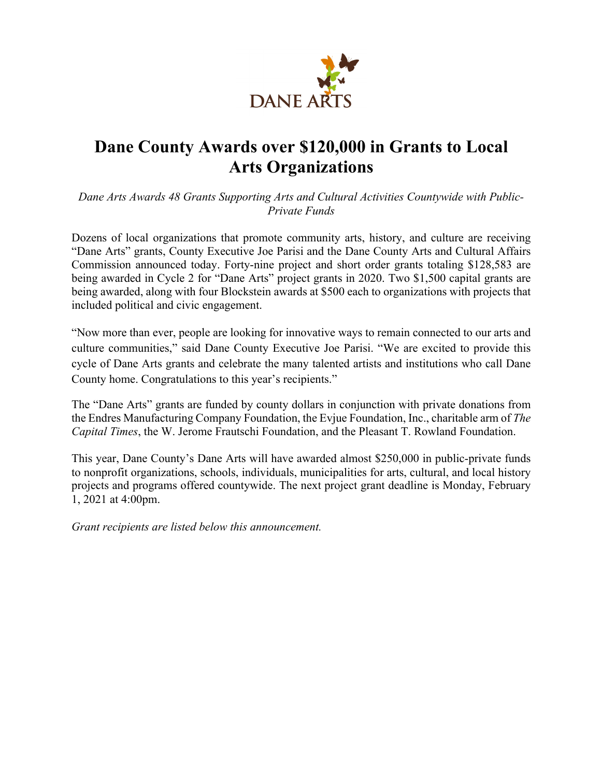

# **Dane County Awards over \$120,000 in Grants to Local Arts Organizations**

*Dane Arts Awards 48 Grants Supporting Arts and Cultural Activities Countywide with Public-Private Funds*

Dozens of local organizations that promote community arts, history, and culture are receiving "Dane Arts" grants, County Executive Joe Parisi and the Dane County Arts and Cultural Affairs Commission announced today. Forty-nine project and short order grants totaling \$128,583 are being awarded in Cycle 2 for "Dane Arts" project grants in 2020. Two \$1,500 capital grants are being awarded, along with four Blockstein awards at \$500 each to organizations with projects that included political and civic engagement.

"Now more than ever, people are looking for innovative ways to remain connected to our arts and culture communities," said Dane County Executive Joe Parisi. "We are excited to provide this cycle of Dane Arts grants and celebrate the many talented artists and institutions who call Dane County home. Congratulations to this year's recipients."

The "Dane Arts" grants are funded by county dollars in conjunction with private donations from the Endres Manufacturing Company Foundation, the Evjue Foundation, Inc., charitable arm of *The Capital Times*, the W. Jerome Frautschi Foundation, and the Pleasant T. Rowland Foundation.

This year, Dane County's Dane Arts will have awarded almost \$250,000 in public-private funds to nonprofit organizations, schools, individuals, municipalities for arts, cultural, and local history projects and programs offered countywide. The next project grant deadline is Monday, February 1, 2021 at 4:00pm.

*Grant recipients are listed below this announcement.*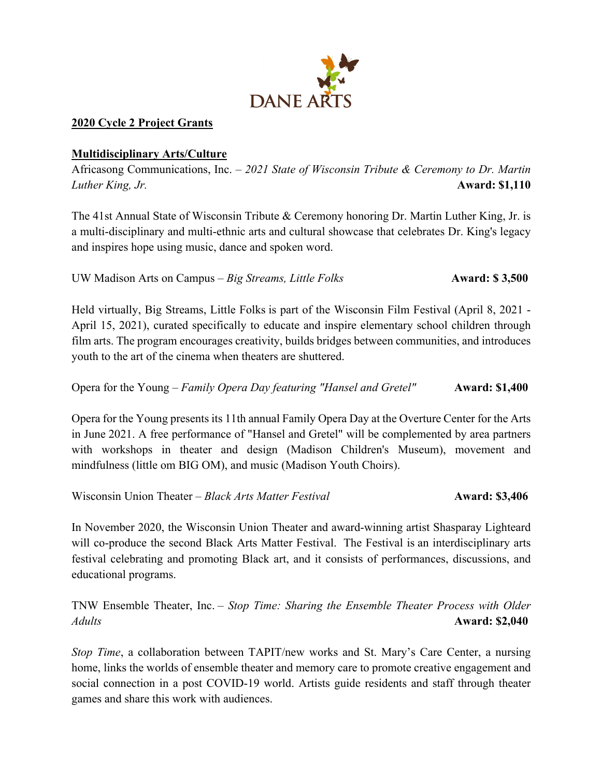

### **2020 Cycle 2 Project Grants**

#### **Multidisciplinary Arts/Culture**

Africasong Communications, Inc. – *2021 State of Wisconsin Tribute & Ceremony to Dr. Martin Luther King, Jr.* **Award: \$1,110**

The 41st Annual State of Wisconsin Tribute & Ceremony honoring Dr. Martin Luther King, Jr. is a multi-disciplinary and multi-ethnic arts and cultural showcase that celebrates Dr. King's legacy and inspires hope using music, dance and spoken word.

UW Madison Arts on Campus – *Big Streams, Little Folks* **Award: \$ 3,500** 

Held virtually, Big Streams, Little Folks is part of the Wisconsin Film Festival (April 8, 2021 - April 15, 2021), curated specifically to educate and inspire elementary school children through film arts. The program encourages creativity, builds bridges between communities, and introduces youth to the art of the cinema when theaters are shuttered.

Opera for the Young – *Family Opera Day featuring "Hansel and Gretel"* **Award: \$1,400**

Opera for the Young presents its 11th annual Family Opera Day at the Overture Center for the Arts in June 2021. A free performance of "Hansel and Gretel" will be complemented by area partners with workshops in theater and design (Madison Children's Museum), movement and mindfulness (little om BIG OM), and music (Madison Youth Choirs).

Wisconsin Union Theater – *Black Arts Matter Festival* **Award: \$3,406** 

In November 2020, the Wisconsin Union Theater and award-winning artist Shasparay Lighteard will co-produce the second Black Arts Matter Festival. The Festival is an interdisciplinary arts festival celebrating and promoting Black art, and it consists of performances, discussions, and educational programs.

TNW Ensemble Theater, Inc. – *Stop Time: Sharing the Ensemble Theater Process with Older Adults* **Award: \$2,040**

*Stop Time*, a collaboration between TAPIT/new works and St. Mary's Care Center, a nursing home, links the worlds of ensemble theater and memory care to promote creative engagement and social connection in a post COVID-19 world. Artists guide residents and staff through theater games and share this work with audiences.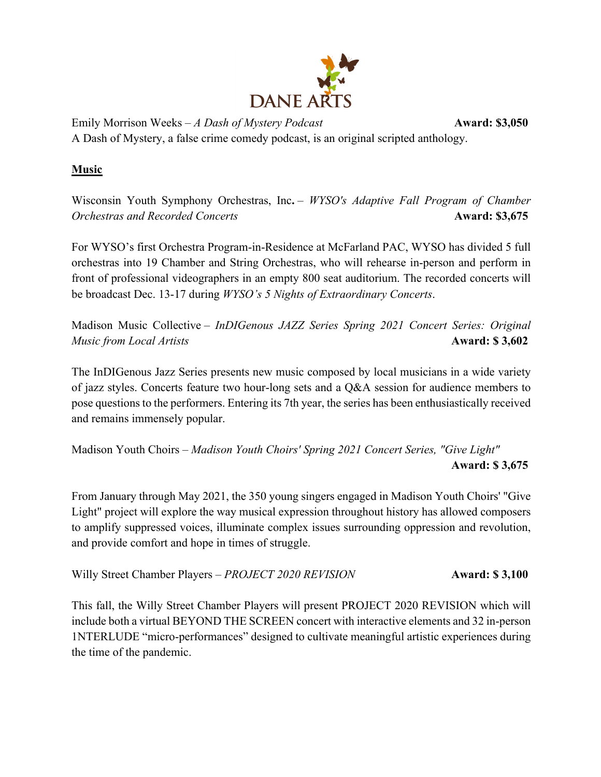

Emily Morrison Weeks – *A Dash of Mystery Podcast* **Award: \$3,050** A Dash of Mystery, a false crime comedy podcast, is an original scripted anthology.

## **Music**

Wisconsin Youth Symphony Orchestras, Inc**.** – *WYSO's Adaptive Fall Program of Chamber Orchestras and Recorded Concerts* **Award: \$3,675** 

For WYSO's first Orchestra Program-in-Residence at McFarland PAC, WYSO has divided 5 full orchestras into 19 Chamber and String Orchestras, who will rehearse in-person and perform in front of professional videographers in an empty 800 seat auditorium. The recorded concerts will be broadcast Dec. 13-17 during *WYSO's 5 Nights of Extraordinary Concerts*.

Madison Music Collective – *InDIGenous JAZZ Series Spring 2021 Concert Series: Original Music from Local Artists* **Award: \$ 3,602**

The InDIGenous Jazz Series presents new music composed by local musicians in a wide variety of jazz styles. Concerts feature two hour-long sets and a Q&A session for audience members to pose questions to the performers. Entering its 7th year, the series has been enthusiastically received and remains immensely popular.

Madison Youth Choirs *– Madison Youth Choirs' Spring 2021 Concert Series, "Give Light"* **Award: \$ 3,675**

From January through May 2021, the 350 young singers engaged in Madison Youth Choirs' "Give Light" project will explore the way musical expression throughout history has allowed composers to amplify suppressed voices, illuminate complex issues surrounding oppression and revolution, and provide comfort and hope in times of struggle.

Willy Street Chamber Players – *PROJECT 2020 REVISION* **Award: \$ 3,100** 

This fall, the Willy Street Chamber Players will present PROJECT 2020 REVISION which will include both a virtual BEYOND THE SCREEN concert with interactive elements and 32 in-person 1NTERLUDE "micro-performances" designed to cultivate meaningful artistic experiences during the time of the pandemic.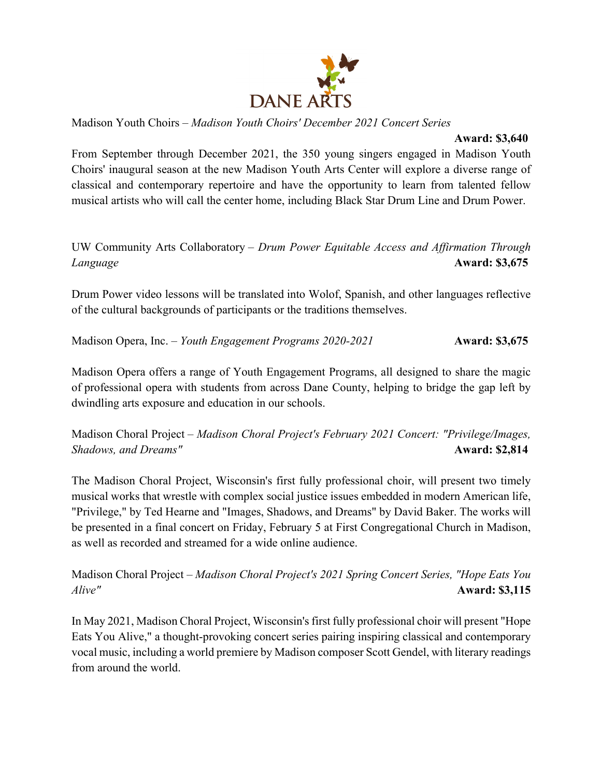

Madison Youth Choirs – *Madison Youth Choirs' December 2021 Concert Series*

#### **Award: \$3,640**

From September through December 2021, the 350 young singers engaged in Madison Youth Choirs' inaugural season at the new Madison Youth Arts Center will explore a diverse range of classical and contemporary repertoire and have the opportunity to learn from talented fellow musical artists who will call the center home, including Black Star Drum Line and Drum Power.

# UW Community Arts Collaboratory – *Drum Power Equitable Access and Affirmation Through Language* **Award: \$3,675**

Drum Power video lessons will be translated into Wolof, Spanish, and other languages reflective of the cultural backgrounds of participants or the traditions themselves.

Madison Opera, Inc. – *Youth Engagement Programs 2020-2021* **Award: \$3,675**

Madison Opera offers a range of Youth Engagement Programs, all designed to share the magic of professional opera with students from across Dane County, helping to bridge the gap left by dwindling arts exposure and education in our schools.

Madison Choral Project – *Madison Choral Project's February 2021 Concert: "Privilege/Images, Shadows, and Dreams"* **Award: \$2,814 Award: \$2,814 Award: \$2,814** 

The Madison Choral Project, Wisconsin's first fully professional choir, will present two timely musical works that wrestle with complex social justice issues embedded in modern American life, "Privilege," by Ted Hearne and "Images, Shadows, and Dreams" by David Baker. The works will be presented in a final concert on Friday, February 5 at First Congregational Church in Madison, as well as recorded and streamed for a wide online audience.

Madison Choral Project *– Madison Choral Project's 2021 Spring Concert Series, "Hope Eats You Alive"* **Award: \$3,115**

In May 2021, Madison Choral Project, Wisconsin's first fully professional choir will present "Hope Eats You Alive," a thought-provoking concert series pairing inspiring classical and contemporary vocal music, including a world premiere by Madison composer Scott Gendel, with literary readings from around the world.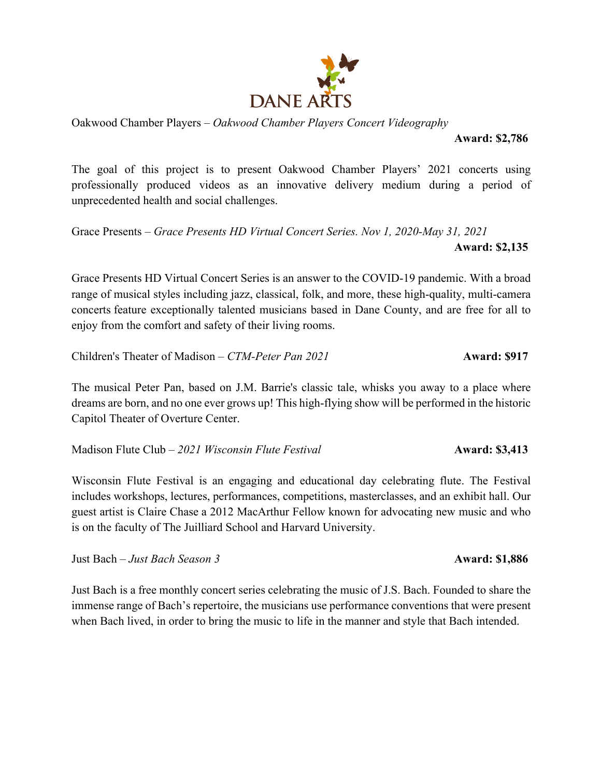

Oakwood Chamber Players – *Oakwood Chamber Players Concert Videography*

**Award: \$2,786**

The goal of this project is to present Oakwood Chamber Players' 2021 concerts using professionally produced videos as an innovative delivery medium during a period of unprecedented health and social challenges.

Grace Presents – *Grace Presents HD Virtual Concert Series. Nov 1, 2020-May 31, 2021*   **Award: \$2,135**

Grace Presents HD Virtual Concert Series is an answer to the COVID-19 pandemic. With a broad range of musical styles including jazz, classical, folk, and more, these high-quality, multi-camera concerts feature exceptionally talented musicians based in Dane County, and are free for all to enjoy from the comfort and safety of their living rooms.

Children's Theater of Madison – *CTM-Peter Pan 2021* **Award: \$917** 

The musical Peter Pan, based on J.M. Barrie's classic tale, whisks you away to a place where dreams are born, and no one ever grows up! This high-flying show will be performed in the historic Capitol Theater of Overture Center.

Madison Flute Club – 2021 Wisconsin Flute Festival **Award: \$3,413** 

Wisconsin Flute Festival is an engaging and educational day celebrating flute. The Festival includes workshops, lectures, performances, competitions, masterclasses, and an exhibit hall. Our guest artist is Claire Chase a 2012 MacArthur Fellow known for advocating new music and who is on the faculty of The Juilliard School and Harvard University.

Just Bach – *Just Bach Season 3* **Award: \$1,886**

Just Bach is a free monthly concert series celebrating the music of J.S. Bach. Founded to share the immense range of Bach's repertoire, the musicians use performance conventions that were present when Bach lived, in order to bring the music to life in the manner and style that Bach intended.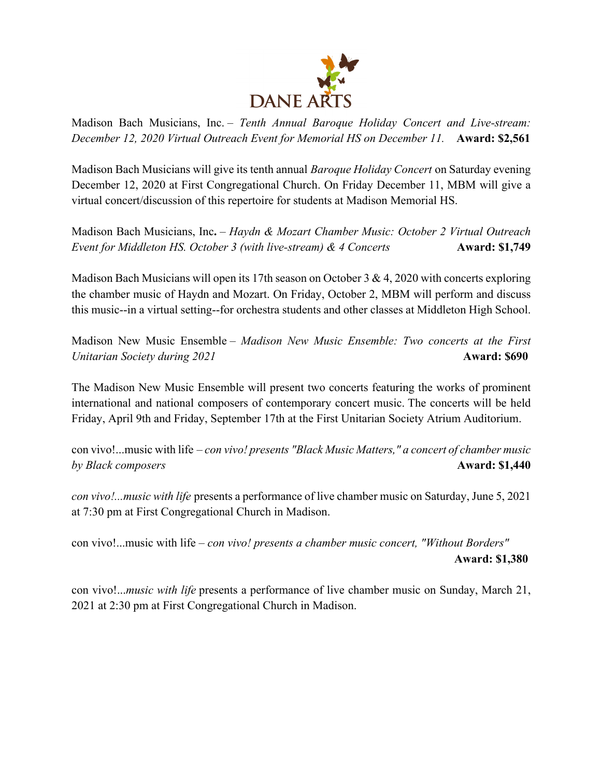

Madison Bach Musicians, Inc. – *Tenth Annual Baroque Holiday Concert and Live-stream: December 12, 2020 Virtual Outreach Event for Memorial HS on December 11.* **Award: \$2,561**

Madison Bach Musicians will give its tenth annual *Baroque Holiday Concert* on Saturday evening December 12, 2020 at First Congregational Church. On Friday December 11, MBM will give a virtual concert/discussion of this repertoire for students at Madison Memorial HS.

Madison Bach Musicians, Inc**.** – *Haydn & Mozart Chamber Music: October 2 Virtual Outreach Event for Middleton HS. October 3 (with live-stream) & 4 Concerts* **Award: \$1,749** 

Madison Bach Musicians will open its 17th season on October 3 & 4, 2020 with concerts exploring the chamber music of Haydn and Mozart. On Friday, October 2, MBM will perform and discuss this music--in a virtual setting--for orchestra students and other classes at Middleton High School.

Madison New Music Ensemble – *Madison New Music Ensemble: Two concerts at the First Unitarian Society during 2021* **Award: \$690** 

The Madison New Music Ensemble will present two concerts featuring the works of prominent international and national composers of contemporary concert music. The concerts will be held Friday, April 9th and Friday, September 17th at the First Unitarian Society Atrium Auditorium.

con vivo!...music with life – *con vivo! presents "Black Music Matters," a concert of chamber music by Black composers* **Award: \$1,440** 

*con vivo!...music with life* presents a performance of live chamber music on Saturday, June 5, 2021 at 7:30 pm at First Congregational Church in Madison.

con vivo!...music with life – *con vivo! presents a chamber music concert, "Without Borders"* **Award: \$1,380**

con vivo!...*music with life* presents a performance of live chamber music on Sunday, March 21, 2021 at 2:30 pm at First Congregational Church in Madison.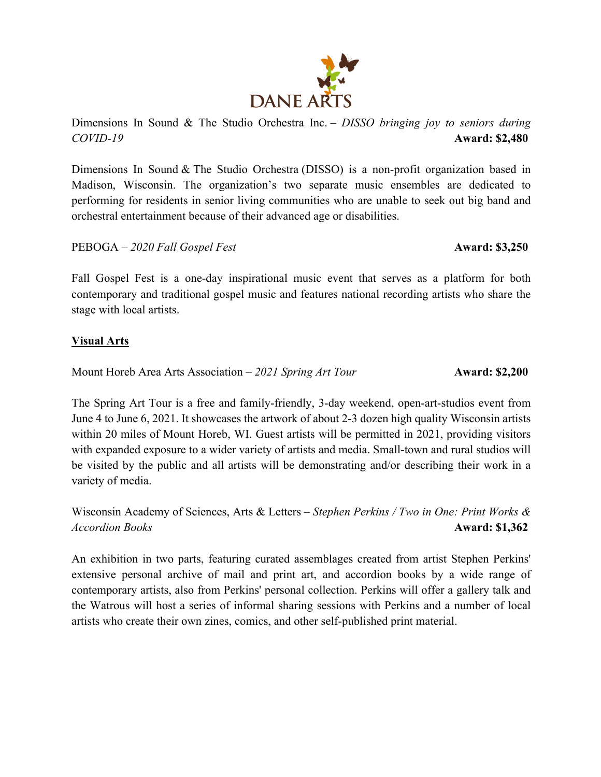

Dimensions In Sound & The Studio Orchestra (DISSO) is a non-profit organization based in Madison, Wisconsin. The organization's two separate music ensembles are dedicated to performing for residents in senior living communities who are unable to seek out big band and orchestral entertainment because of their advanced age or disabilities.

PEBOGA – 2020 Fall Gospel Fest **Award: \$3,250** 

Fall Gospel Fest is a one-day inspirational music event that serves as a platform for both contemporary and traditional gospel music and features national recording artists who share the stage with local artists.

#### **Visual Arts**

Mount Horeb Area Arts Association – 2021 Spring Art Tour **Award: \$2,200** 

The Spring Art Tour is a free and family-friendly, 3-day weekend, open-art-studios event from June 4 to June 6, 2021. It showcases the artwork of about 2-3 dozen high quality Wisconsin artists within 20 miles of Mount Horeb, WI. Guest artists will be permitted in 2021, providing visitors with expanded exposure to a wider variety of artists and media. Small-town and rural studios will be visited by the public and all artists will be demonstrating and/or describing their work in a variety of media.

Wisconsin Academy of Sciences, Arts & Letters – *Stephen Perkins / Two in One: Print Works & Accordion Books* **Award: \$1,362**

An exhibition in two parts, featuring curated assemblages created from artist Stephen Perkins' extensive personal archive of mail and print art, and accordion books by a wide range of contemporary artists, also from Perkins' personal collection. Perkins will offer a gallery talk and the Watrous will host a series of informal sharing sessions with Perkins and a number of local artists who create their own zines, comics, and other self-published print material.

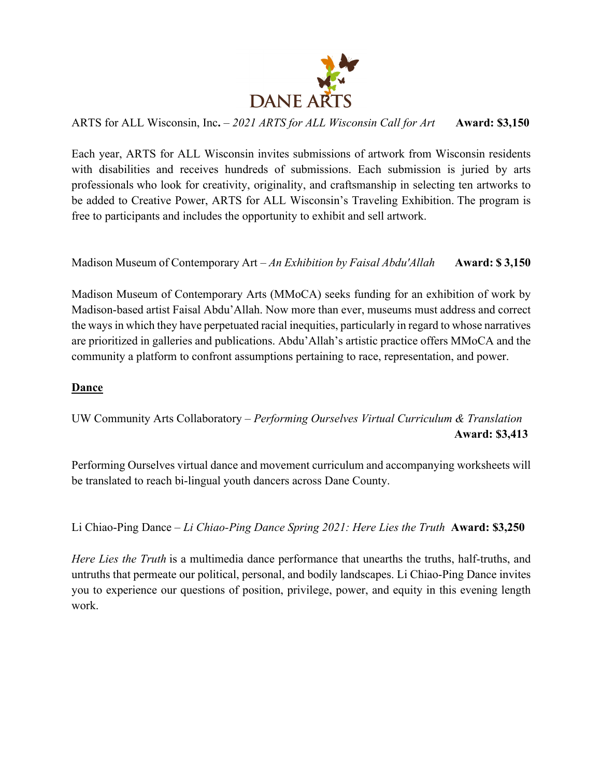

ARTS for ALL Wisconsin, Inc**.** – *2021 ARTS for ALL Wisconsin Call for Art* **Award: \$3,150**

Each year, ARTS for ALL Wisconsin invites submissions of artwork from Wisconsin residents with disabilities and receives hundreds of submissions. Each submission is juried by arts professionals who look for creativity, originality, and craftsmanship in selecting ten artworks to be added to Creative Power, ARTS for ALL Wisconsin's Traveling Exhibition. The program is free to participants and includes the opportunity to exhibit and sell artwork.

Madison Museum of Contemporary Art – *An Exhibition by Faisal Abdu'Allah* **Award: \$ 3,150**

Madison Museum of Contemporary Arts (MMoCA) seeks funding for an exhibition of work by Madison-based artist Faisal Abdu'Allah. Now more than ever, museums must address and correct the ways in which they have perpetuated racial inequities, particularly in regard to whose narratives are prioritized in galleries and publications. Abdu'Allah's artistic practice offers MMoCA and the community a platform to confront assumptions pertaining to race, representation, and power.

### **Dance**

UW Community Arts Collaboratory – *Performing Ourselves Virtual Curriculum & Translation* **Award: \$3,413**

Performing Ourselves virtual dance and movement curriculum and accompanying worksheets will be translated to reach bi-lingual youth dancers across Dane County.

Li Chiao-Ping Dance – *Li Chiao-Ping Dance Spring 2021: Here Lies the Truth* **Award: \$3,250**

*Here Lies the Truth* is a multimedia dance performance that unearths the truths, half-truths, and untruths that permeate our political, personal, and bodily landscapes. Li Chiao-Ping Dance invites you to experience our questions of position, privilege, power, and equity in this evening length work.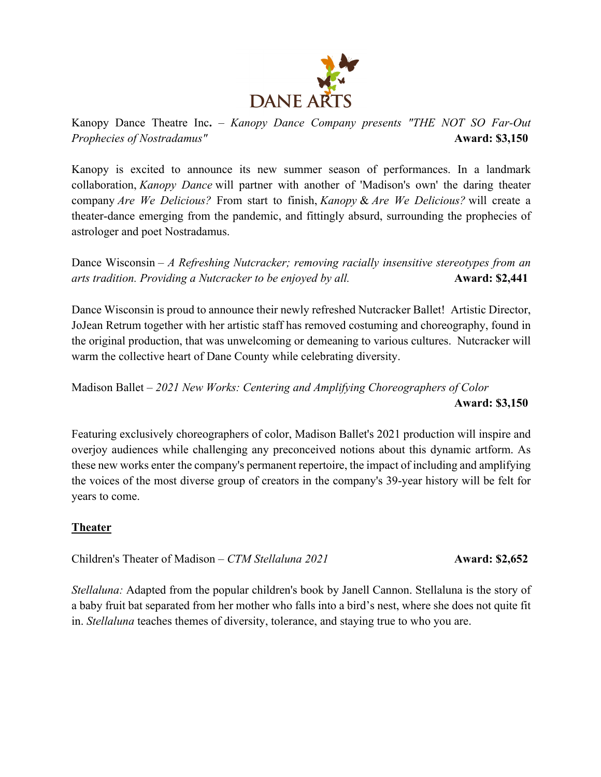

Kanopy Dance Theatre Inc**.** – *Kanopy Dance Company presents "THE NOT SO Far-Out Prophecies of Nostradamus"* **Award: \$3,150** 

Kanopy is excited to announce its new summer season of performances. In a landmark collaboration, *Kanopy Dance* will partner with another of 'Madison's own' the daring theater company *Are We Delicious?* From start to finish, *Kanopy* & *Are We Delicious?* will create a theater-dance emerging from the pandemic, and fittingly absurd, surrounding the prophecies of astrologer and poet Nostradamus.

Dance Wisconsin – *A Refreshing Nutcracker; removing racially insensitive stereotypes from an arts tradition. Providing a Nutcracker to be enjoyed by all.* **Award: \$2,441** 

Dance Wisconsin is proud to announce their newly refreshed Nutcracker Ballet! Artistic Director, JoJean Retrum together with her artistic staff has removed costuming and choreography, found in the original production, that was unwelcoming or demeaning to various cultures. Nutcracker will warm the collective heart of Dane County while celebrating diversity.

Madison Ballet – *2021 New Works: Centering and Amplifying Choreographers of Color* **Award: \$3,150**

Featuring exclusively choreographers of color, Madison Ballet's 2021 production will inspire and overjoy audiences while challenging any preconceived notions about this dynamic artform. As these new works enter the company's permanent repertoire, the impact of including and amplifying the voices of the most diverse group of creators in the company's 39-year history will be felt for years to come.

### **Theater**

Children's Theater of Madison – *CTM Stellaluna 2021* **Award: \$2,652** 

*Stellaluna:* Adapted from the popular children's book by Janell Cannon. Stellaluna is the story of a baby fruit bat separated from her mother who falls into a bird's nest, where she does not quite fit in. *Stellaluna* teaches themes of diversity, tolerance, and staying true to who you are.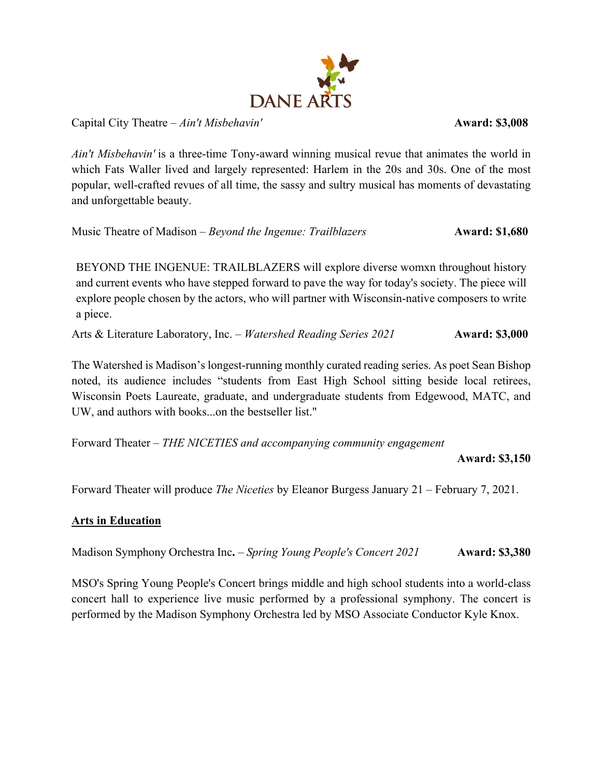

Capital City Theatre – *Ain't Misbehavin'* **Award: \$3,008**

*Ain't Misbehavin'* is a three-time Tony-award winning musical revue that animates the world in which Fats Waller lived and largely represented: Harlem in the 20s and 30s. One of the most popular, well-crafted revues of all time, the sassy and sultry musical has moments of devastating and unforgettable beauty.

Music Theatre of Madison – *Beyond the Ingenue: Trailblazers* **Award: \$1,680** 

BEYOND THE INGENUE: TRAILBLAZERS will explore diverse womxn throughout history and current events who have stepped forward to pave the way for today's society. The piece will explore people chosen by the actors, who will partner with Wisconsin-native composers to write a piece.

Arts & Literature Laboratory, Inc. – *Watershed Reading Series 2021* **Award: \$3,000** 

The Watershed is Madison's longest-running monthly curated reading series. As poet Sean Bishop noted, its audience includes "students from East High School sitting beside local retirees, Wisconsin Poets Laureate, graduate, and undergraduate students from Edgewood, MATC, and UW, and authors with books...on the bestseller list."

Forward Theater – *THE NICETIES and accompanying community engagement* 

 **Award: \$3,150**

Forward Theater will produce *The Niceties* by Eleanor Burgess January 21 – February 7, 2021.

### **Arts in Education**

Madison Symphony Orchestra Inc**.** – *Spring Young People's Concert 2021* **Award: \$3,380**

MSO's Spring Young People's Concert brings middle and high school students into a world-class concert hall to experience live music performed by a professional symphony. The concert is performed by the Madison Symphony Orchestra led by MSO Associate Conductor Kyle Knox.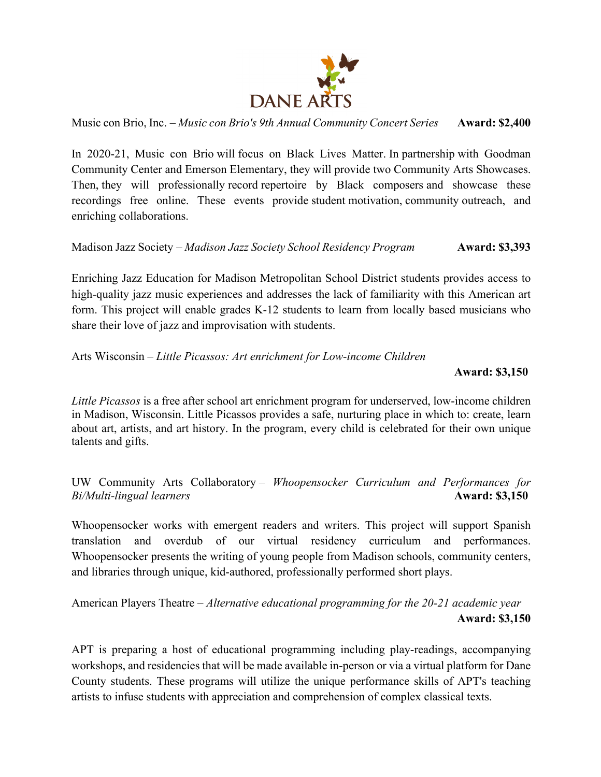

Music con Brio, Inc. – *Music con Brio's 9th Annual Community Concert Series* **Award: \$2,400**

In 2020-21, Music con Brio will focus on Black Lives Matter. In partnership with Goodman Community Center and Emerson Elementary, they will provide two Community Arts Showcases. Then, they will professionally record repertoire by Black composers and showcase these recordings free online. These events provide student motivation, community outreach, and enriching collaborations.

Madison Jazz Society – *Madison Jazz Society School Residency Program* **Award: \$3,393**

Enriching Jazz Education for Madison Metropolitan School District students provides access to high-quality jazz music experiences and addresses the lack of familiarity with this American art form. This project will enable grades K-12 students to learn from locally based musicians who share their love of jazz and improvisation with students.

Arts Wisconsin – *Little Picassos: Art enrichment for Low-income Children*

 **Award: \$3,150**

*Little Picassos* is a free after school art enrichment program for underserved, low-income children in Madison, Wisconsin. Little Picassos provides a safe, nurturing place in which to: create, learn about art, artists, and art history. In the program, every child is celebrated for their own unique talents and gifts.

UW Community Arts Collaboratory – *Whoopensocker Curriculum and Performances for Bi/Multi-lingual learners* **Award: \$3,150** 

Whoopensocker works with emergent readers and writers. This project will support Spanish translation and overdub of our virtual residency curriculum and performances. Whoopensocker presents the writing of young people from Madison schools, community centers, and libraries through unique, kid-authored, professionally performed short plays.

American Players Theatre – *Alternative educational programming for the 20-21 academic year* **Award: \$3,150**

APT is preparing a host of educational programming including play-readings, accompanying workshops, and residencies that will be made available in-person or via a virtual platform for Dane County students. These programs will utilize the unique performance skills of APT's teaching artists to infuse students with appreciation and comprehension of complex classical texts.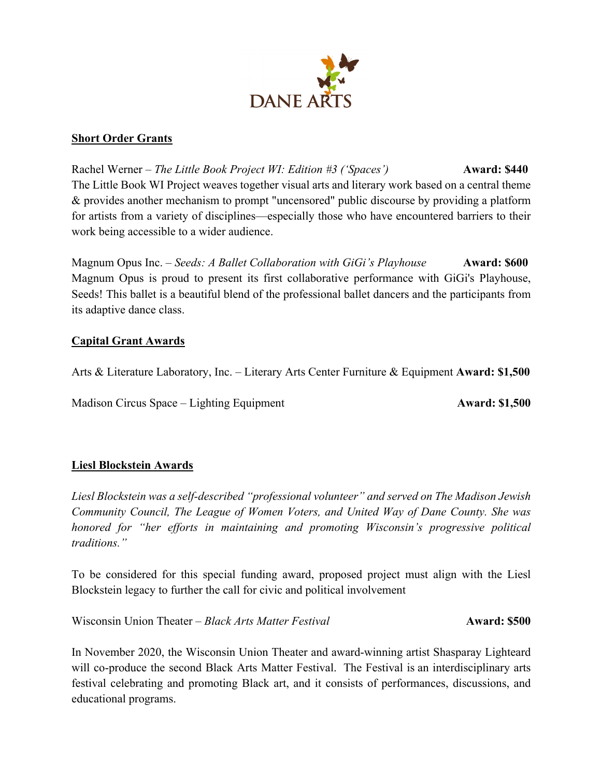

#### **Short Order Grants**

Rachel Werner – *The Little Book Project WI: Edition #3 ('Spaces')* **Award: \$440** The Little Book WI Project weaves together visual arts and literary work based on a central theme & provides another mechanism to prompt "uncensored" public discourse by providing a platform for artists from a variety of disciplines—especially those who have encountered barriers to their work being accessible to a wider audience.

Magnum Opus Inc. – *Seeds: A Ballet Collaboration with GiGi's Playhouse* **Award: \$600** Magnum Opus is proud to present its first collaborative performance with GiGi's Playhouse, Seeds! This ballet is a beautiful blend of the professional ballet dancers and the participants from its adaptive dance class.

### **Capital Grant Awards**

Arts & Literature Laboratory, Inc. – Literary Arts Center Furniture & Equipment **Award: \$1,500**

Madison Circus Space – Lighting Equipment **Award: \$1,500** 

### **Liesl Blockstein Awards**

*Liesl Blockstein was a self-described "professional volunteer" and served on The Madison Jewish Community Council, The League of Women Voters, and United Way of Dane County. She was honored for "her efforts in maintaining and promoting Wisconsin's progressive political traditions."* 

To be considered for this special funding award, proposed project must align with the Liesl Blockstein legacy to further the call for civic and political involvement

Wisconsin Union Theater – *Black Arts Matter Festival* **Award: \$500** 

In November 2020, the Wisconsin Union Theater and award-winning artist Shasparay Lighteard will co-produce the second Black Arts Matter Festival. The Festival is an interdisciplinary arts festival celebrating and promoting Black art, and it consists of performances, discussions, and educational programs.